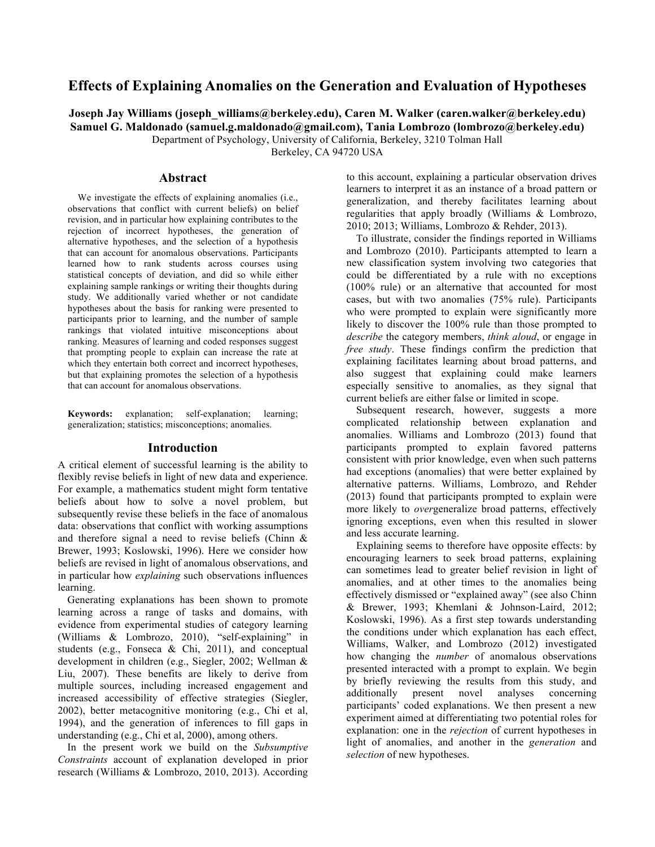# **Effects of Explaining Anomalies on the Generation and Evaluation of Hypotheses**

**Joseph Jay Williams (joseph\_williams@berkeley.edu), Caren M. Walker (caren.walker@berkeley.edu) Samuel G. Maldonado (samuel.g.maldonado@gmail.com), Tania Lombrozo (lombrozo@berkeley.edu)** Department of Psychology, University of California, Berkeley, 3210 Tolman Hall

Berkeley, CA 94720 USA

## **Abstract**

We investigate the effects of explaining anomalies (i.e., observations that conflict with current beliefs) on belief revision, and in particular how explaining contributes to the rejection of incorrect hypotheses, the generation of alternative hypotheses, and the selection of a hypothesis that can account for anomalous observations. Participants learned how to rank students across courses using statistical concepts of deviation, and did so while either explaining sample rankings or writing their thoughts during study. We additionally varied whether or not candidate hypotheses about the basis for ranking were presented to participants prior to learning, and the number of sample rankings that violated intuitive misconceptions about ranking. Measures of learning and coded responses suggest that prompting people to explain can increase the rate at which they entertain both correct and incorrect hypotheses, but that explaining promotes the selection of a hypothesis that can account for anomalous observations.

**Keywords:** explanation; self-explanation; learning; generalization; statistics; misconceptions; anomalies.

## **Introduction**

A critical element of successful learning is the ability to flexibly revise beliefs in light of new data and experience. For example, a mathematics student might form tentative beliefs about how to solve a novel problem, but subsequently revise these beliefs in the face of anomalous data: observations that conflict with working assumptions and therefore signal a need to revise beliefs (Chinn & Brewer, 1993; Koslowski, 1996). Here we consider how beliefs are revised in light of anomalous observations, and in particular how *explaining* such observations influences learning.

Generating explanations has been shown to promote learning across a range of tasks and domains, with evidence from experimental studies of category learning (Williams & Lombrozo, 2010), "self-explaining" in students (e.g., Fonseca & Chi, 2011), and conceptual development in children (e.g., Siegler, 2002; Wellman & Liu, 2007). These benefits are likely to derive from multiple sources, including increased engagement and increased accessibility of effective strategies (Siegler, 2002), better metacognitive monitoring (e.g., Chi et al, 1994), and the generation of inferences to fill gaps in understanding (e.g., Chi et al, 2000), among others.

In the present work we build on the *Subsumptive Constraints* account of explanation developed in prior research (Williams & Lombrozo, 2010, 2013). According to this account, explaining a particular observation drives learners to interpret it as an instance of a broad pattern or generalization, and thereby facilitates learning about regularities that apply broadly (Williams & Lombrozo, 2010; 2013; Williams, Lombrozo & Rehder, 2013).

To illustrate, consider the findings reported in Williams and Lombrozo (2010). Participants attempted to learn a new classification system involving two categories that could be differentiated by a rule with no exceptions (100% rule) or an alternative that accounted for most cases, but with two anomalies (75% rule). Participants who were prompted to explain were significantly more likely to discover the 100% rule than those prompted to *describe* the category members, *think aloud*, or engage in *free study*. These findings confirm the prediction that explaining facilitates learning about broad patterns, and also suggest that explaining could make learners especially sensitive to anomalies, as they signal that current beliefs are either false or limited in scope.

Subsequent research, however, suggests a more complicated relationship between explanation and anomalies. Williams and Lombrozo (2013) found that participants prompted to explain favored patterns consistent with prior knowledge, even when such patterns had exceptions (anomalies) that were better explained by alternative patterns. Williams, Lombrozo, and Rehder (2013) found that participants prompted to explain were more likely to *over*generalize broad patterns, effectively ignoring exceptions, even when this resulted in slower and less accurate learning.

Explaining seems to therefore have opposite effects: by encouraging learners to seek broad patterns, explaining can sometimes lead to greater belief revision in light of anomalies, and at other times to the anomalies being effectively dismissed or "explained away" (see also Chinn & Brewer, 1993; Khemlani & Johnson-Laird, 2012; Koslowski, 1996). As a first step towards understanding the conditions under which explanation has each effect, Williams, Walker, and Lombrozo (2012) investigated how changing the *number* of anomalous observations presented interacted with a prompt to explain. We begin by briefly reviewing the results from this study, and additionally present novel analyses concerning participants' coded explanations. We then present a new experiment aimed at differentiating two potential roles for explanation: one in the *rejection* of current hypotheses in light of anomalies, and another in the *generation* and *selection* of new hypotheses.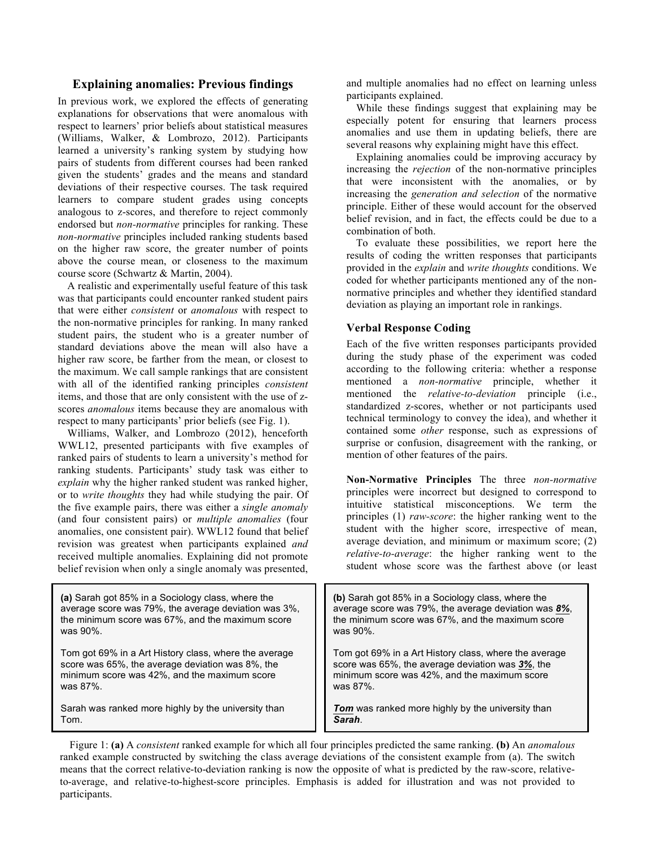## **Explaining anomalies: Previous findings**

In previous work, we explored the effects of generating explanations for observations that were anomalous with respect to learners' prior beliefs about statistical measures (Williams, Walker, & Lombrozo, 2012). Participants learned a university's ranking system by studying how pairs of students from different courses had been ranked given the students' grades and the means and standard deviations of their respective courses. The task required learners to compare student grades using concepts analogous to z-scores, and therefore to reject commonly endorsed but *non-normative* principles for ranking. These *non-normative* principles included ranking students based on the higher raw score, the greater number of points above the course mean, or closeness to the maximum course score (Schwartz & Martin, 2004).

A realistic and experimentally useful feature of this task was that participants could encounter ranked student pairs that were either *consistent* or *anomalous* with respect to the non-normative principles for ranking. In many ranked student pairs, the student who is a greater number of standard deviations above the mean will also have a higher raw score, be farther from the mean, or closest to the maximum. We call sample rankings that are consistent with all of the identified ranking principles *consistent* items, and those that are only consistent with the use of zscores *anomalous* items because they are anomalous with respect to many participants' prior beliefs (see Fig. 1).

Williams, Walker, and Lombrozo (2012), henceforth WWL12, presented participants with five examples of ranked pairs of students to learn a university's method for ranking students. Participants' study task was either to *explain* why the higher ranked student was ranked higher, or to *write thoughts* they had while studying the pair. Of the five example pairs, there was either a *single anomaly*  (and four consistent pairs) or *multiple anomalies* (four anomalies, one consistent pair). WWL12 found that belief revision was greatest when participants explained *and* received multiple anomalies. Explaining did not promote belief revision when only a single anomaly was presented, and multiple anomalies had no effect on learning unless participants explained.

While these findings suggest that explaining may be especially potent for ensuring that learners process anomalies and use them in updating beliefs, there are several reasons why explaining might have this effect.

Explaining anomalies could be improving accuracy by increasing the *rejection* of the non-normative principles that were inconsistent with the anomalies, or by increasing the *generation and selection* of the normative principle. Either of these would account for the observed belief revision, and in fact, the effects could be due to a combination of both.

To evaluate these possibilities, we report here the results of coding the written responses that participants provided in the *explain* and *write thoughts* conditions. We coded for whether participants mentioned any of the nonnormative principles and whether they identified standard deviation as playing an important role in rankings.

## **Verbal Response Coding**

Each of the five written responses participants provided during the study phase of the experiment was coded according to the following criteria: whether a response mentioned a *non-normative* principle, whether it mentioned the *relative-to-deviation* principle (i.e., standardized z-scores, whether or not participants used technical terminology to convey the idea), and whether it contained some *other* response, such as expressions of surprise or confusion, disagreement with the ranking, or mention of other features of the pairs.

**Non-Normative Principles** The three *non-normative*  principles were incorrect but designed to correspond to intuitive statistical misconceptions. We term the principles (1) *raw-score*: the higher ranking went to the student with the higher score, irrespective of mean, average deviation, and minimum or maximum score; (2) *relative-to-average*: the higher ranking went to the student whose score was the farthest above (or least

| (a) Sarah got 85% in a Sociology class, where the<br>average score was 79%, the average deviation was 3%,<br>the minimum score was 67%, and the maximum score<br>was 90%. | (b) Sarah got 85% in a Sociology class, where the<br>average score was 79%, the average deviation was 8%,<br>the minimum score was 67%, and the maximum score<br>was 90%. |
|---------------------------------------------------------------------------------------------------------------------------------------------------------------------------|---------------------------------------------------------------------------------------------------------------------------------------------------------------------------|
| Tom got 69% in a Art History class, where the average<br>score was 65%, the average deviation was 8%, the<br>minimum score was 42%, and the maximum score<br>was 87%.     | Tom got 69% in a Art History class, where the average<br>score was 65%, the average deviation was 3%, the<br>minimum score was 42%, and the maximum score<br>was $87\%$ . |
| Sarah was ranked more highly by the university than<br>Tom.                                                                                                               | <b>Tom</b> was ranked more highly by the university than<br>Sarah.                                                                                                        |

Figure 1: **(a)** A *consistent* ranked example for which all four principles predicted the same ranking. **(b)** An *anomalous* ranked example constructed by switching the class average deviations of the consistent example from (a). The switch means that the correct relative-to-deviation ranking is now the opposite of what is predicted by the raw-score, relativeto-average, and relative-to-highest-score principles. Emphasis is added for illustration and was not provided to participants.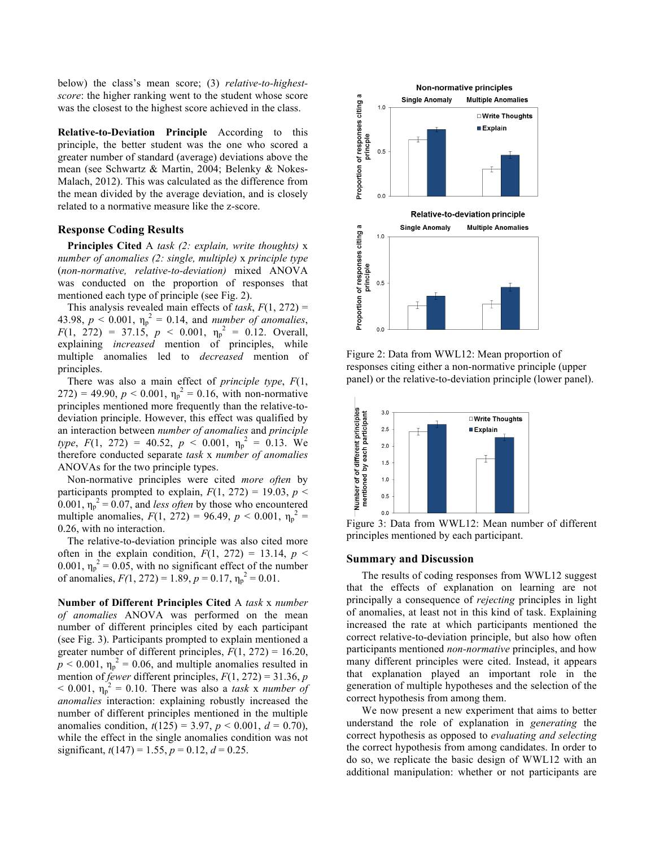below) the class's mean score; (3) *relative-to-highestscore*: the higher ranking went to the student whose score was the closest to the highest score achieved in the class.

**Relative-to-Deviation Principle** According to this principle, the better student was the one who scored a greater number of standard (average) deviations above the mean (see Schwartz & Martin, 2004; Belenky & Nokes-Malach, 2012). This was calculated as the difference from the mean divided by the average deviation, and is closely related to a normative measure like the z-score.

#### **Response Coding Results**

**Principles Cited** A *task (2: explain, write thoughts)* x *number of anomalies (2: single, multiple)* x *principle type*  (*non-normative, relative-to-deviation)* mixed ANOVA was conducted on the proportion of responses that mentioned each type of principle (see Fig. 2).

This analysis revealed main effects of *task*, *F*(1, 272) = 43.98,  $p < 0.001$ ,  $\eta_p^2 = 0.14$ , and *number of anomalies*,  $F(1, 272) = 37.15, p < 0.001, \eta_p^2 = 0.12$ . Overall, explaining *increased* mention of principles, while multiple anomalies led to *decreased* mention of principles.

There was also a main effect of *principle type*, *F*(1,  $(272) = 49.90, p < 0.001, \eta_p^2 = 0.16$ , with non-normative principles mentioned more frequently than the relative-todeviation principle. However, this effect was qualified by an interaction between *number of anomalies* and *principle type*,  $F(1, 272) = 40.52$ ,  $p < 0.001$ ,  $\eta_p^2 = 0.13$ . We therefore conducted separate *task* x *number of anomalies*  ANOVAs for the two principle types.

Non-normative principles were cited *more often* by participants prompted to explain,  $F(1, 272) = 19.03$ ,  $p <$  $0.001$ ,  $\eta_p^2 = 0.07$ , and *less often* by those who encountered multiple anomalies,  $F(1, 272) = 96.49$ ,  $p < 0.001$ ,  $\eta_p^2 =$ 0.26, with no interaction.

The relative-to-deviation principle was also cited more often in the explain condition,  $F(1, 272) = 13.14$ ,  $p \le$ 0.001,  $\eta_p^2 = 0.05$ , with no significant effect of the number of anomalies,  $F(1, 272) = 1.89$ ,  $p = 0.17$ ,  $\eta_p^2 = 0.01$ .

**Number of Different Principles Cited** A *task* x *number of anomalies* ANOVA was performed on the mean number of different principles cited by each participant (see Fig. 3). Participants prompted to explain mentioned a greater number of different principles,  $F(1, 272) = 16.20$ ,  $p < 0.001$ ,  $\eta_p^2 = 0.06$ , and multiple anomalies resulted in mention of *fewer* different principles, *F*(1, 272) = 31.36, *p*  $<$  0.001,  $\eta_p^2$  = 0.10. There was also a *task x number of anomalies* interaction: explaining robustly increased the number of different principles mentioned in the multiple anomalies condition,  $t(125) = 3.97$ ,  $p < 0.001$ ,  $d = 0.70$ ), while the effect in the single anomalies condition was not significant,  $t(147) = 1.55$ ,  $p = 0.12$ ,  $d = 0.25$ .



Figure 2: Data from WWL12: Mean proportion of responses citing either a non-normative principle (upper panel) or the relative-to-deviation principle (lower panel).



Figure 3: Data from WWL12: Mean number of different principles mentioned by each participant.

## **Summary and Discussion**

The results of coding responses from WWL12 suggest that the effects of explanation on learning are not principally a consequence of *rejecting* principles in light of anomalies, at least not in this kind of task. Explaining increased the rate at which participants mentioned the correct relative-to-deviation principle, but also how often participants mentioned *non-normative* principles, and how many different principles were cited. Instead, it appears that explanation played an important role in the generation of multiple hypotheses and the selection of the correct hypothesis from among them.

We now present a new experiment that aims to better understand the role of explanation in *generating* the correct hypothesis as opposed to *evaluating and selecting* the correct hypothesis from among candidates. In order to do so, we replicate the basic design of WWL12 with an additional manipulation: whether or not participants are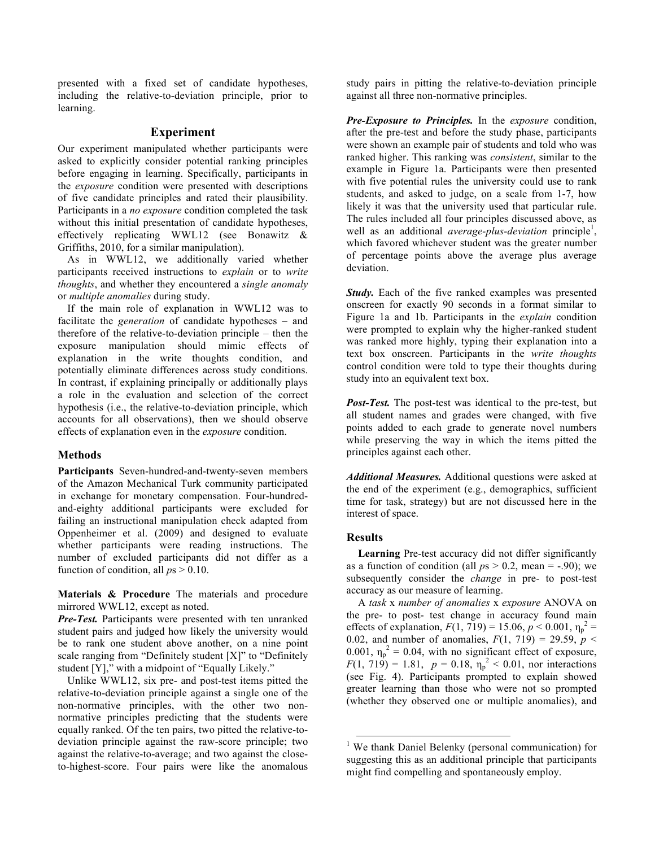presented with a fixed set of candidate hypotheses, including the relative-to-deviation principle, prior to learning.

## **Experiment**

Our experiment manipulated whether participants were asked to explicitly consider potential ranking principles before engaging in learning. Specifically, participants in the *exposure* condition were presented with descriptions of five candidate principles and rated their plausibility. Participants in a *no exposure* condition completed the task without this initial presentation of candidate hypotheses, effectively replicating WWL12 (see Bonawitz & Griffiths, 2010, for a similar manipulation).

As in WWL12, we additionally varied whether participants received instructions to *explain* or to *write thoughts*, and whether they encountered a *single anomaly* or *multiple anomalies* during study.

If the main role of explanation in WWL12 was to facilitate the *generation* of candidate hypotheses – and therefore of the relative-to-deviation principle – then the exposure manipulation should mimic effects of explanation in the write thoughts condition, and potentially eliminate differences across study conditions. In contrast, if explaining principally or additionally plays a role in the evaluation and selection of the correct hypothesis (i.e., the relative-to-deviation principle, which accounts for all observations), then we should observe effects of explanation even in the *exposure* condition.

### **Methods**

**Participants** Seven-hundred-and-twenty-seven members of the Amazon Mechanical Turk community participated in exchange for monetary compensation. Four-hundredand-eighty additional participants were excluded for failing an instructional manipulation check adapted from Oppenheimer et al. (2009) and designed to evaluate whether participants were reading instructions. The number of excluded participants did not differ as a function of condition, all *p*s > 0.10.

**Materials & Procedure** The materials and procedure mirrored WWL12, except as noted.

*Pre-Test.* Participants were presented with ten unranked student pairs and judged how likely the university would be to rank one student above another, on a nine point scale ranging from "Definitely student [X]" to "Definitely student [Y]," with a midpoint of "Equally Likely."

Unlike WWL12, six pre- and post-test items pitted the relative-to-deviation principle against a single one of the non-normative principles, with the other two nonnormative principles predicting that the students were equally ranked. Of the ten pairs, two pitted the relative-todeviation principle against the raw-score principle; two against the relative-to-average; and two against the closeto-highest-score. Four pairs were like the anomalous study pairs in pitting the relative-to-deviation principle against all three non-normative principles.

*Pre-Exposure to Principles.* In the *exposure* condition, after the pre-test and before the study phase, participants were shown an example pair of students and told who was ranked higher. This ranking was *consistent*, similar to the example in Figure 1a. Participants were then presented with five potential rules the university could use to rank students, and asked to judge, on a scale from 1-7, how likely it was that the university used that particular rule. The rules included all four principles discussed above, as well as an additional *average-plus-deviation* principle<sup>1</sup>, which favored whichever student was the greater number of percentage points above the average plus average deviation.

*Study.* Each of the five ranked examples was presented onscreen for exactly 90 seconds in a format similar to Figure 1a and 1b. Participants in the *explain* condition were prompted to explain why the higher-ranked student was ranked more highly, typing their explanation into a text box onscreen. Participants in the *write thoughts* control condition were told to type their thoughts during study into an equivalent text box.

*Post-Test.* The post-test was identical to the pre-test, but all student names and grades were changed, with five points added to each grade to generate novel numbers while preserving the way in which the items pitted the principles against each other.

*Additional Measures.* Additional questions were asked at the end of the experiment (e.g., demographics, sufficient time for task, strategy) but are not discussed here in the interest of space.

#### **Results**

**Learning** Pre-test accuracy did not differ significantly as a function of condition (all  $ps > 0.2$ , mean = -.90); we subsequently consider the *change* in pre- to post-test accuracy as our measure of learning.

A *task* x *number of anomalies* x *exposure* ANOVA on the pre- to post- test change in accuracy found main effects of explanation,  $F(1, 719) = 15.06$ ,  $p < 0.001$ ,  $\eta_p^2 =$ 0.02, and number of anomalies,  $F(1, 719) = 29.59$ ,  $p <$ 0.001,  $\eta_p^2 = 0.04$ , with no significant effect of exposure,  $F(1, 719) = 1.81$ ,  $p = 0.18$ ,  $\eta_p^2 < 0.01$ , nor interactions (see Fig. 4). Participants prompted to explain showed greater learning than those who were not so prompted (whether they observed one or multiple anomalies), and

<sup>&</sup>lt;sup>1</sup> We thank Daniel Belenky (personal communication) for suggesting this as an additional principle that participants might find compelling and spontaneously employ.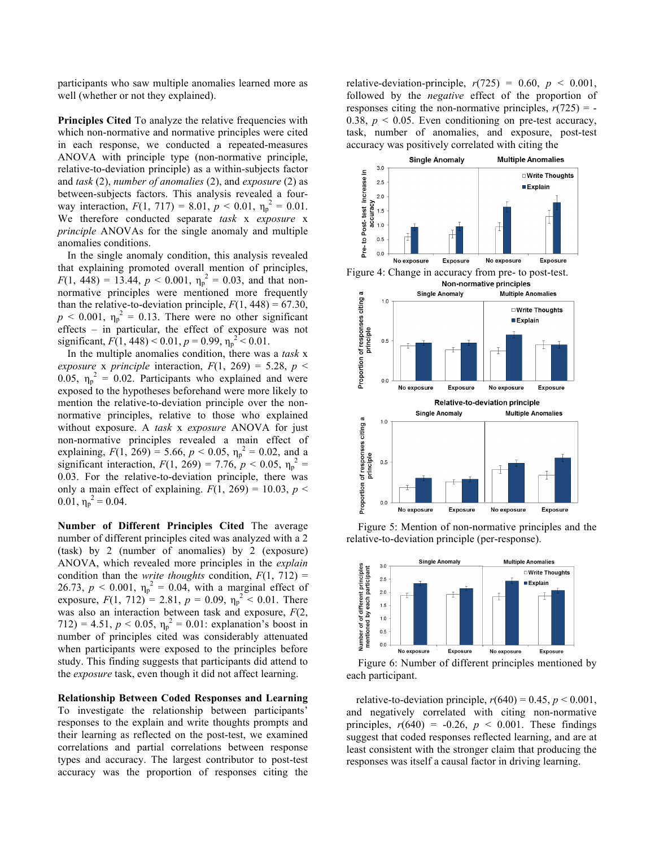participants who saw multiple anomalies learned more as well (whether or not they explained).

**Principles Cited** To analyze the relative frequencies with which non-normative and normative principles were cited in each response, we conducted a repeated-measures ANOVA with principle type (non-normative principle, relative-to-deviation principle) as a within-subjects factor and *task* (2), *number of anomalies* (2), and *exposure* (2) as between-subjects factors. This analysis revealed a fourway interaction,  $F(1, 717) = 8.01$ ,  $p < 0.01$ ,  $\eta_p^2 = 0.01$ . We therefore conducted separate *task* x *exposure* x *principle* ANOVAs for the single anomaly and multiple anomalies conditions.

In the single anomaly condition, this analysis revealed that explaining promoted overall mention of principles,  $F(1, 448) = 13.44, p < 0.001, \eta_p^2 = 0.03$ , and that nonnormative principles were mentioned more frequently than the relative-to-deviation principle,  $F(1, 448) = 67.30$ ,  $p < 0.001$ ,  $\eta_p^2 = 0.13$ . There were no other significant effects – in particular, the effect of exposure was not significant,  $F(1, 448) < 0.01$ ,  $p = 0.99$ ,  $\eta_p^2 < 0.01$ .

In the multiple anomalies condition, there was a *task* x *exposure* x *principle* interaction,  $F(1, 269) = 5.28$ ,  $p \le$ 0.05,  $\eta_p^2 = 0.02$ . Participants who explained and were exposed to the hypotheses beforehand were more likely to mention the relative-to-deviation principle over the nonnormative principles, relative to those who explained without exposure. A *task* x *exposure* ANOVA for just non-normative principles revealed a main effect of explaining,  $F(1, 269) = 5.66$ ,  $p < 0.05$ ,  $\eta_p^2 = 0.02$ , and a significant interaction,  $F(1, 269) = 7.76$ ,  $p < 0.05$ ,  $\eta_p^2 =$ 0.03. For the relative-to-deviation principle, there was only a main effect of explaining.  $F(1, 269) = 10.03$ ,  $p <$ 0.01,  $\eta_p^2 = 0.04$ .

**Number of Different Principles Cited** The average number of different principles cited was analyzed with a 2 (task) by 2 (number of anomalies) by 2 (exposure) ANOVA, which revealed more principles in the *explain* condition than the *write thoughts* condition,  $F(1, 712) =$ 26.73,  $p < 0.001$ ,  $\eta_p^2 = 0.04$ , with a marginal effect of exposure,  $F(1, 712) = 2.81$ ,  $p = 0.09$ ,  $\eta_p^2 < 0.01$ . There was also an interaction between task and exposure, *F*(2, 712) = 4.51,  $p < 0.05$ ,  $\eta_p^2 = 0.01$ : explanation's boost in number of principles cited was considerably attenuated when participants were exposed to the principles before study. This finding suggests that participants did attend to the *exposure* task, even though it did not affect learning.

**Relationship Between Coded Responses and Learning**  To investigate the relationship between participants' responses to the explain and write thoughts prompts and their learning as reflected on the post-test, we examined correlations and partial correlations between response types and accuracy. The largest contributor to post-test accuracy was the proportion of responses citing the relative-deviation-principle,  $r(725) = 0.60$ ,  $p < 0.001$ , followed by the *negative* effect of the proportion of responses citing the non-normative principles,  $r(725) = -$ 0.38,  $p < 0.05$ . Even conditioning on pre-test accuracy, task, number of anomalies, and exposure, post-test accuracy was positively correlated with citing the



Figure 5: Mention of non-normative principles and the relative-to-deviation principle (per-response).



each participant.

relative-to-deviation principle,  $r(640) = 0.45$ ,  $p < 0.001$ , and negatively correlated with citing non-normative principles,  $r(640) = -0.26$ ,  $p < 0.001$ . These findings suggest that coded responses reflected learning, and are at least consistent with the stronger claim that producing the responses was itself a causal factor in driving learning.